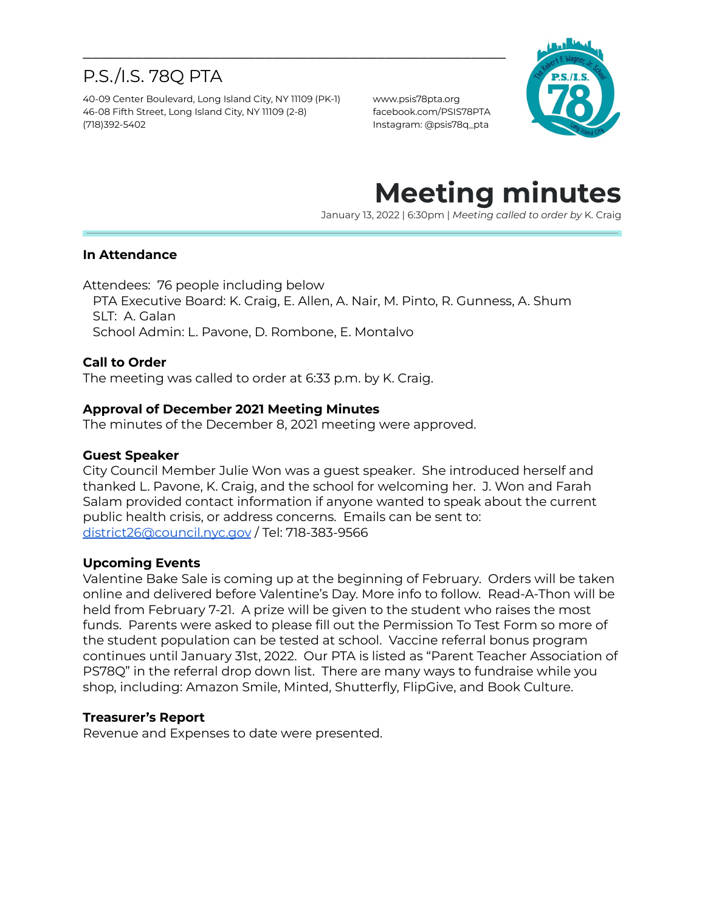# P.S./I.S. 78Q PTA

40-09 Center Boulevard, Long Island City, NY 11109 (PK-1) www.psis78pta.org 46-08 Fifth Street, Long Island City, NY 11109 (2-8) facebook.com/PSIS78PTA (718)392-5402 Instagram: @psis78q\_pta



# **Meeting minutes**

January 13, 2022 | 6:30pm | *Meeting called to order by* K. Craig

### **In Attendance**

Attendees: 76 people including below

PTA Executive Board: K. Craig, E. Allen, A. Nair, M. Pinto, R. Gunness, A. Shum SLT: A. Galan School Admin: L. Pavone, D. Rombone, E. Montalvo

\_\_\_\_\_\_\_\_\_\_\_\_\_\_\_\_\_\_\_\_\_\_\_\_\_\_\_\_\_\_\_\_\_\_\_\_\_\_\_\_\_\_\_\_\_\_\_\_\_

### **Call to Order**

The meeting was called to order at 6:33 p.m. by K. Craig.

### **Approval of December 2021 Meeting Minutes**

The minutes of the December 8, 2021 meeting were approved.

#### **Guest Speaker**

City Council Member Julie Won was a guest speaker. She introduced herself and thanked L. Pavone, K. Craig, and the school for welcoming her. J. Won and Farah Salam provided contact information if anyone wanted to speak about the current public health crisis, or address concerns. Emails can be sent to: [district26@council.nyc.gov](mailto:district26@council.nyc.gov) / Tel: 718-383-9566

### **Upcoming Events**

Valentine Bake Sale is coming up at the beginning of February. Orders will be taken online and delivered before Valentine's Day. More info to follow. Read-A-Thon will be held from February 7-21. A prize will be given to the student who raises the most funds. Parents were asked to please fill out the Permission To Test Form so more of the student population can be tested at school. Vaccine referral bonus program continues until January 31st, 2022. Our PTA is listed as "Parent Teacher Association of PS78Q" in the referral drop down list. There are many ways to fundraise while you shop, including: Amazon Smile, Minted, Shutterfly, FlipGive, and Book Culture.

### **Treasurer's Report**

Revenue and Expenses to date were presented.